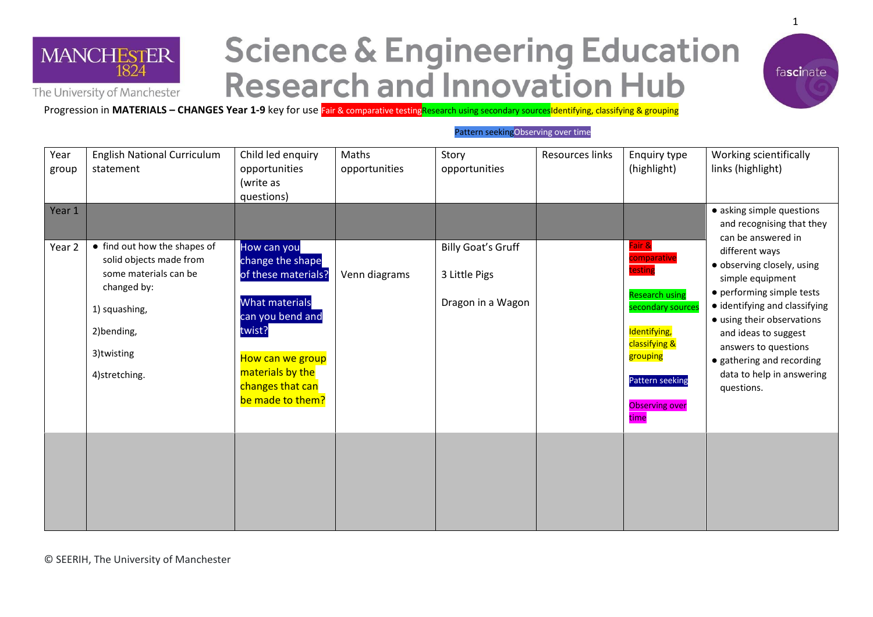

## **Science & Engineering Education Research and Innovation Hub**



Progression in **MATERIALS – CHANGES Year 1-9** key for use Fair & comparative testingResearch using secondary sources Identifying, classifying & grouping

## Pattern seekingObserving over time

| Year<br>group<br>Year 1 | <b>English National Curriculum</b><br>statement                                                                                                               | Child led enquiry<br>opportunities<br>(write as<br>questions)                                                                                                                                 | Maths<br>opportunities | Story<br>opportunities                                          | <b>Resources links</b> | Enquiry type<br>(highlight)                                                                                                                                                            | Working scientifically<br>links (highlight)<br>• asking simple questions                                                                                                                                                                                                                                                                |
|-------------------------|---------------------------------------------------------------------------------------------------------------------------------------------------------------|-----------------------------------------------------------------------------------------------------------------------------------------------------------------------------------------------|------------------------|-----------------------------------------------------------------|------------------------|----------------------------------------------------------------------------------------------------------------------------------------------------------------------------------------|-----------------------------------------------------------------------------------------------------------------------------------------------------------------------------------------------------------------------------------------------------------------------------------------------------------------------------------------|
| Year 2                  | • find out how the shapes of<br>solid objects made from<br>some materials can be<br>changed by:<br>1) squashing,<br>2)bending,<br>3)twisting<br>4)stretching. | How can you<br>change the shape<br>of these materials?<br><b>What materials</b><br>can you bend and<br>twist?<br>How can we group<br>materials by the<br>changes that can<br>be made to them? | Venn diagrams          | <b>Billy Goat's Gruff</b><br>3 Little Pigs<br>Dragon in a Wagon |                        | Fair &<br>comparative<br>testing<br><b>Research using</b><br>secondary sources<br>Identifying,<br>classifying &<br>grouping<br><b>Pattern seeking</b><br><b>Observing over</b><br>time | and recognising that they<br>can be answered in<br>different ways<br>· observing closely, using<br>simple equipment<br>• performing simple tests<br>· identifying and classifying<br>• using their observations<br>and ideas to suggest<br>answers to questions<br>• gathering and recording<br>data to help in answering<br>questions. |
|                         |                                                                                                                                                               |                                                                                                                                                                                               |                        |                                                                 |                        |                                                                                                                                                                                        |                                                                                                                                                                                                                                                                                                                                         |

© SEERIH, The University of Manchester

1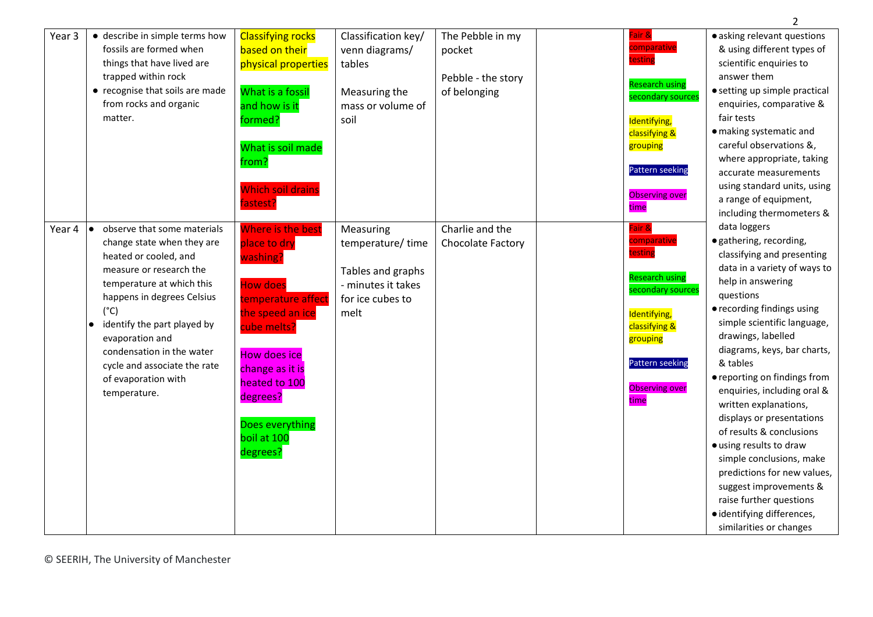|        |                                          |                          |                     |                    |                                            | $2^{\circ}$                   |
|--------|------------------------------------------|--------------------------|---------------------|--------------------|--------------------------------------------|-------------------------------|
| Year 3 | · describe in simple terms how           | <b>Classifying rocks</b> | Classification key/ | The Pebble in my   | Fair &                                     | · asking relevant questions   |
|        | fossils are formed when                  | based on their           | venn diagrams/      | pocket             | comparative                                | & using different types of    |
|        | things that have lived are               | physical properties      | tables              |                    | testing                                    | scientific enquiries to       |
|        | trapped within rock                      |                          |                     | Pebble - the story |                                            | answer them                   |
|        | • recognise that soils are made          | What is a fossil         | Measuring the       | of belonging       | <b>Research using</b><br>secondary sources | • setting up simple practical |
|        | from rocks and organic                   | and how is it            | mass or volume of   |                    |                                            | enquiries, comparative &      |
|        | matter.                                  | formed?                  | soil                |                    | Identifying,                               | fair tests                    |
|        |                                          |                          |                     |                    | classifying &                              | · making systematic and       |
|        |                                          | What is soil made        |                     |                    | grouping                                   | careful observations &,       |
|        |                                          | from?                    |                     |                    |                                            | where appropriate, taking     |
|        |                                          |                          |                     |                    | <b>Pattern seeking</b>                     | accurate measurements         |
|        |                                          | <b>Which soil drains</b> |                     |                    |                                            | using standard units, using   |
|        |                                          | fastest?                 |                     |                    | <b>Observing over</b>                      | a range of equipment,         |
|        |                                          |                          |                     |                    | time                                       | including thermometers &      |
| Year 4 | observe that some materials<br>$\bullet$ | Where is the best        | Measuring           | Charlie and the    | Fair &                                     | data loggers                  |
|        | change state when they are               | place to dry             | temperature/time    | Chocolate Factory  | comparative                                | · gathering, recording,       |
|        | heated or cooled, and                    | washing?                 |                     |                    | testing                                    | classifying and presenting    |
|        | measure or research the                  |                          | Tables and graphs   |                    |                                            | data in a variety of ways to  |
|        | temperature at which this                | <b>How does</b>          | - minutes it takes  |                    | <b>Research using</b>                      | help in answering             |
|        | happens in degrees Celsius               | temperature affect       | for ice cubes to    |                    | secondary sources                          | questions                     |
|        | $(^{\circ}C)$                            | the speed an ice         | melt                |                    | Identifying,                               | • recording findings using    |
|        | identify the part played by              | cube melts?              |                     |                    | classifying &                              | simple scientific language,   |
|        | evaporation and                          |                          |                     |                    | grouping                                   | drawings, labelled            |
|        | condensation in the water                | <b>How does ice</b>      |                     |                    |                                            | diagrams, keys, bar charts,   |
|        | cycle and associate the rate             | change as it is          |                     |                    | Pattern seeking                            | & tables                      |
|        | of evaporation with                      | heated to 100            |                     |                    |                                            | • reporting on findings from  |
|        | temperature.                             |                          |                     |                    | <b>Observing over</b>                      | enquiries, including oral &   |
|        |                                          | degrees?                 |                     |                    | time                                       | written explanations,         |
|        |                                          |                          |                     |                    |                                            | displays or presentations     |
|        |                                          | Does everything          |                     |                    |                                            | of results & conclusions      |
|        |                                          | boil at 100              |                     |                    |                                            | · using results to draw       |
|        |                                          | degrees?                 |                     |                    |                                            | simple conclusions, make      |
|        |                                          |                          |                     |                    |                                            | predictions for new values,   |
|        |                                          |                          |                     |                    |                                            | suggest improvements &        |
|        |                                          |                          |                     |                    |                                            | raise further questions       |
|        |                                          |                          |                     |                    |                                            | · identifying differences,    |
|        |                                          |                          |                     |                    |                                            | similarities or changes       |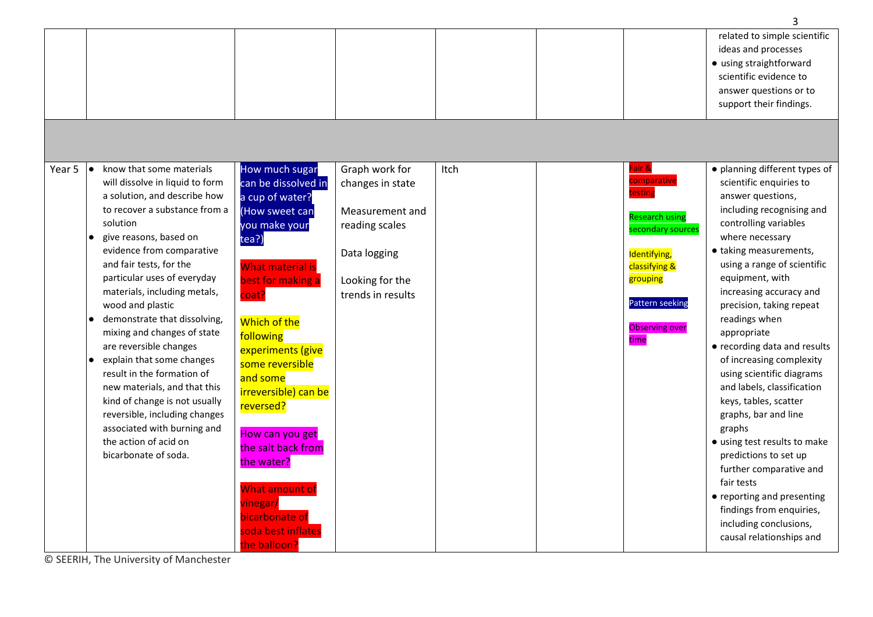|        |     |                                 |                         |                   |      |                        | 3                             |
|--------|-----|---------------------------------|-------------------------|-------------------|------|------------------------|-------------------------------|
|        |     |                                 |                         |                   |      |                        | related to simple scientific  |
|        |     |                                 |                         |                   |      |                        | ideas and processes           |
|        |     |                                 |                         |                   |      |                        | • using straightforward       |
|        |     |                                 |                         |                   |      |                        | scientific evidence to        |
|        |     |                                 |                         |                   |      |                        | answer questions or to        |
|        |     |                                 |                         |                   |      |                        | support their findings.       |
|        |     |                                 |                         |                   |      |                        |                               |
|        |     |                                 |                         |                   |      |                        |                               |
|        |     |                                 |                         |                   |      |                        |                               |
|        |     |                                 |                         |                   |      |                        |                               |
| Year 5 | l e | know that some materials        | How much sugar          | Graph work for    | Itch | Fair &                 | · planning different types of |
|        |     | will dissolve in liquid to form | can be dissolved in     | changes in state  |      | comparative            | scientific enquiries to       |
|        |     | a solution, and describe how    | a cup of water?         |                   |      | testing                | answer questions,             |
|        |     | to recover a substance from a   | (How sweet can          | Measurement and   |      |                        | including recognising and     |
|        |     | solution                        | you make your           | reading scales    |      | <b>Research using</b>  | controlling variables         |
|        |     | give reasons, based on          | tea?)                   |                   |      | secondary sources      | where necessary               |
|        |     | evidence from comparative       |                         | Data logging      |      | Identifying,           | · taking measurements,        |
|        |     | and fair tests, for the         | <b>What material is</b> |                   |      | classifying &          | using a range of scientific   |
|        |     | particular uses of everyday     | best for making a       | Looking for the   |      | grouping               | equipment, with               |
|        |     | materials, including metals,    | coat?                   | trends in results |      |                        | increasing accuracy and       |
|        |     | wood and plastic                |                         |                   |      | <b>Pattern seeking</b> | precision, taking repeat      |
|        |     | demonstrate that dissolving,    | Which of the            |                   |      |                        | readings when                 |
|        |     | mixing and changes of state     |                         |                   |      | <b>Observing over</b>  | appropriate                   |
|        |     | are reversible changes          | following               |                   |      | time                   | • recording data and results  |
|        |     | explain that some changes       | experiments (give       |                   |      |                        | of increasing complexity      |
|        |     | result in the formation of      | some reversible         |                   |      |                        | using scientific diagrams     |
|        |     | new materials, and that this    | and some                |                   |      |                        | and labels, classification    |
|        |     | kind of change is not usually   | irreversible) can be    |                   |      |                        | keys, tables, scatter         |
|        |     | reversible, including changes   | reversed?               |                   |      |                        | graphs, bar and line          |
|        |     | associated with burning and     |                         |                   |      |                        | graphs                        |
|        |     | the action of acid on           | How can you get         |                   |      |                        | • using test results to make  |
|        |     | bicarbonate of soda.            | the salt back from      |                   |      |                        | predictions to set up         |
|        |     |                                 | the water?              |                   |      |                        | further comparative and       |
|        |     |                                 |                         |                   |      |                        | fair tests                    |
|        |     |                                 | What amount of          |                   |      |                        | • reporting and presenting    |
|        |     |                                 | vinegar/                |                   |      |                        | findings from enquiries,      |
|        |     |                                 | bicarbonate of          |                   |      |                        | including conclusions,        |
|        |     |                                 | soda best inflates      |                   |      |                        |                               |
|        |     |                                 | the balloon?            |                   |      |                        | causal relationships and      |

© SEERIH, The University of Manchester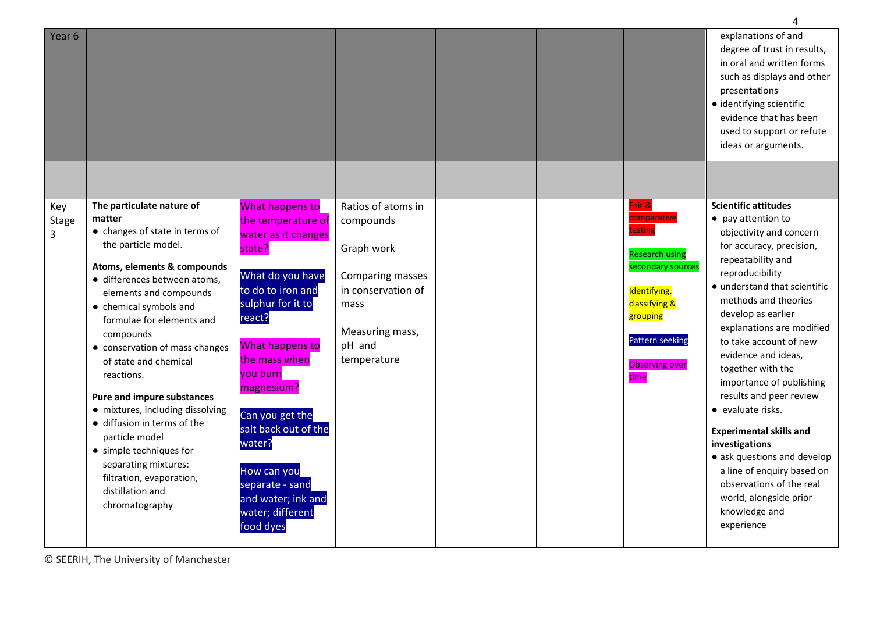| Year 6                   |                                                                                                                                                                                                                                                                                                                                                                                                                                                                                                                                                                            |                                                                                                                                                                                                                                                                                                                                                            |                                                                                                                                             |  |                                                                                                                                                                                 | explanations of and<br>degree of trust in results,<br>in oral and written forms<br>such as displays and other<br>presentations<br>· identifying scientific<br>evidence that has been<br>used to support or refute<br>ideas or arguments.                                                                                                                                                                                                                                                                                                                                                                            |
|--------------------------|----------------------------------------------------------------------------------------------------------------------------------------------------------------------------------------------------------------------------------------------------------------------------------------------------------------------------------------------------------------------------------------------------------------------------------------------------------------------------------------------------------------------------------------------------------------------------|------------------------------------------------------------------------------------------------------------------------------------------------------------------------------------------------------------------------------------------------------------------------------------------------------------------------------------------------------------|---------------------------------------------------------------------------------------------------------------------------------------------|--|---------------------------------------------------------------------------------------------------------------------------------------------------------------------------------|---------------------------------------------------------------------------------------------------------------------------------------------------------------------------------------------------------------------------------------------------------------------------------------------------------------------------------------------------------------------------------------------------------------------------------------------------------------------------------------------------------------------------------------------------------------------------------------------------------------------|
|                          |                                                                                                                                                                                                                                                                                                                                                                                                                                                                                                                                                                            |                                                                                                                                                                                                                                                                                                                                                            |                                                                                                                                             |  |                                                                                                                                                                                 |                                                                                                                                                                                                                                                                                                                                                                                                                                                                                                                                                                                                                     |
| Key<br><b>Stage</b><br>3 | The particulate nature of<br>matter<br>• changes of state in terms of<br>the particle model.<br>Atoms, elements & compounds<br>· differences between atoms,<br>elements and compounds<br>• chemical symbols and<br>formulae for elements and<br>compounds<br>• conservation of mass changes<br>of state and chemical<br>reactions.<br>Pure and impure substances<br>• mixtures, including dissolving<br>· diffusion in terms of the<br>particle model<br>• simple techniques for<br>separating mixtures:<br>filtration, evaporation,<br>distillation and<br>chromatography | What happens to<br>the temperature of<br>water as it changes<br>state?<br>What do you have<br>to do to iron and<br>sulphur for it to<br>react?<br>What happens to<br>the mass when<br>you burn<br>magnesium?<br>Can you get the<br>salt back out of the<br>water?<br>How can you<br>separate - sand<br>and water; ink and<br>water; different<br>food dyes | Ratios of atoms in<br>compounds<br>Graph work<br>Comparing masses<br>in conservation of<br>mass<br>Measuring mass,<br>pH and<br>temperature |  | Fair &<br>comparative<br>testing<br><b>Research using</b><br>secondary sources<br>Identifying,<br>classifying &<br>grouping<br>Pattern seeking<br><b>Observing over</b><br>time | <b>Scientific attitudes</b><br>• pay attention to<br>objectivity and concern<br>for accuracy, precision,<br>repeatability and<br>reproducibility<br>· understand that scientific<br>methods and theories<br>develop as earlier<br>explanations are modified<br>to take account of new<br>evidence and ideas,<br>together with the<br>importance of publishing<br>results and peer review<br>• evaluate risks.<br><b>Experimental skills and</b><br>investigations<br>• ask questions and develop<br>a line of enquiry based on<br>observations of the real<br>world, alongside prior<br>knowledge and<br>experience |

© SEERIH, The University of Manchester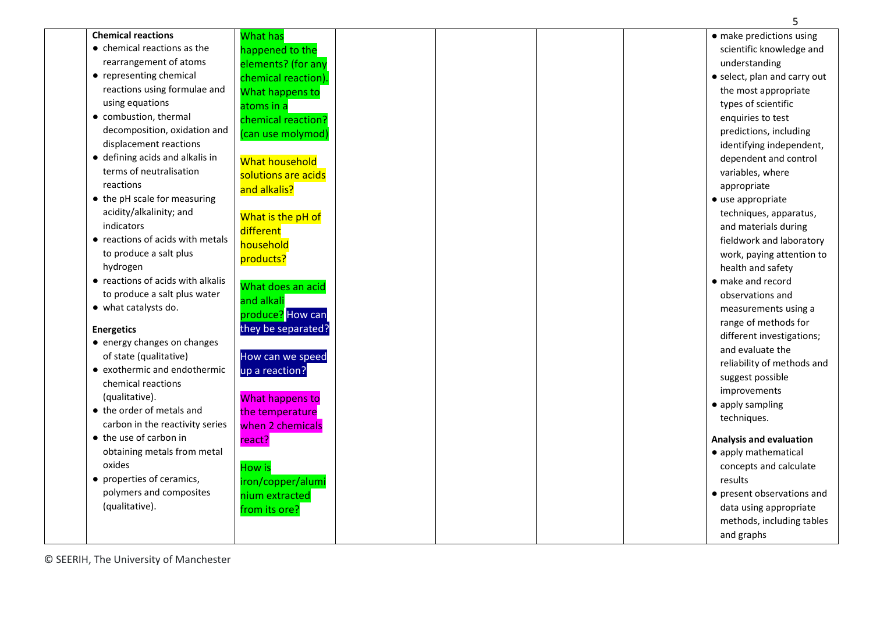|                                     |                       | 5                              |
|-------------------------------------|-----------------------|--------------------------------|
| <b>Chemical reactions</b>           | What has              | · make predictions using       |
| $\bullet$ chemical reactions as the | happened to the       | scientific knowledge and       |
| rearrangement of atoms              | elements? (for any    | understanding                  |
| • representing chemical             | chemical reaction).   | • select, plan and carry out   |
| reactions using formulae and        | What happens to       | the most appropriate           |
| using equations                     | atoms in a            | types of scientific            |
| • combustion, thermal               | chemical reaction?    | enquiries to test              |
| decomposition, oxidation and        | (can use molymod)     | predictions, including         |
| displacement reactions              |                       | identifying independent,       |
| • defining acids and alkalis in     | <b>What household</b> | dependent and control          |
| terms of neutralisation             | solutions are acids   | variables, where               |
| reactions                           | and alkalis?          | appropriate                    |
| • the pH scale for measuring        |                       | • use appropriate              |
| acidity/alkalinity; and             | What is the pH of     | techniques, apparatus,         |
| indicators                          | different             | and materials during           |
| • reactions of acids with metals    | household             | fieldwork and laboratory       |
| to produce a salt plus              |                       | work, paying attention to      |
| hydrogen                            | products?             | health and safety              |
| • reactions of acids with alkalis   |                       | • make and record              |
| to produce a salt plus water        | What does an acid     | observations and               |
| • what catalysts do.                | and alkali            | measurements using a           |
|                                     | produce? How can      | range of methods for           |
| <b>Energetics</b>                   | they be separated?    | different investigations;      |
| • energy changes on changes         |                       | and evaluate the               |
| of state (qualitative)              | How can we speed      | reliability of methods and     |
| • exothermic and endothermic        | up a reaction?        | suggest possible               |
| chemical reactions                  |                       | improvements                   |
| (qualitative).                      | What happens to       | • apply sampling               |
| • the order of metals and           | the temperature       | techniques.                    |
| carbon in the reactivity series     | when 2 chemicals      |                                |
| • the use of carbon in              | react?                | <b>Analysis and evaluation</b> |
| obtaining metals from metal         |                       | • apply mathematical           |
| oxides                              | <b>How is</b>         | concepts and calculate         |
| • properties of ceramics,           | iron/copper/alumi     | results                        |
| polymers and composites             | nium extracted        | • present observations and     |
| (qualitative).                      | from its ore?         | data using appropriate         |
|                                     |                       | methods, including tables      |
|                                     |                       | and graphs                     |

© SEERIH, The University of Manchester